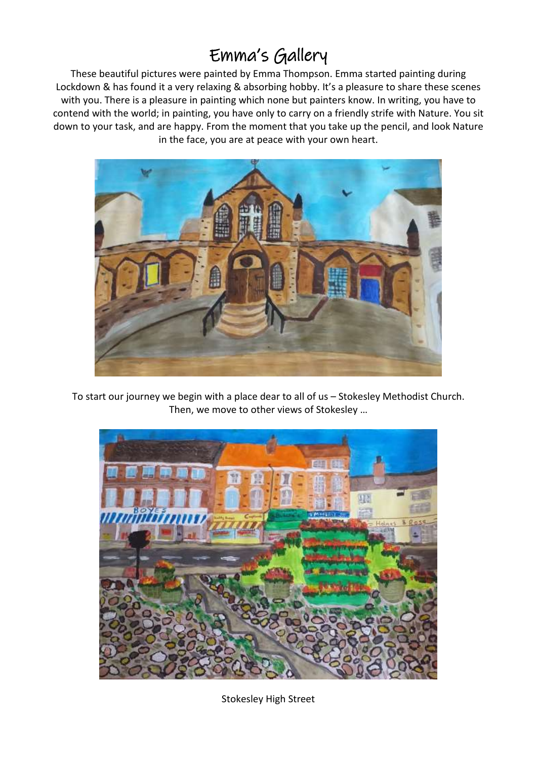## Emma's Gallery

These beautiful pictures were painted by Emma Thompson. Emma started painting during Lockdown & has found it a very relaxing & absorbing hobby. It's a pleasure to share these scenes with you. There is a pleasure in painting which none but painters know. In writing, you have to contend with the world; in painting, you have only to carry on a friendly strife with Nature. You sit down to your task, and are happy. From the moment that you take up the pencil, and look Nature in the face, you are at peace with your own heart.



To start our journey we begin with a place dear to all of us – Stokesley Methodist Church. Then, we move to other views of Stokesley …



Stokesley High Street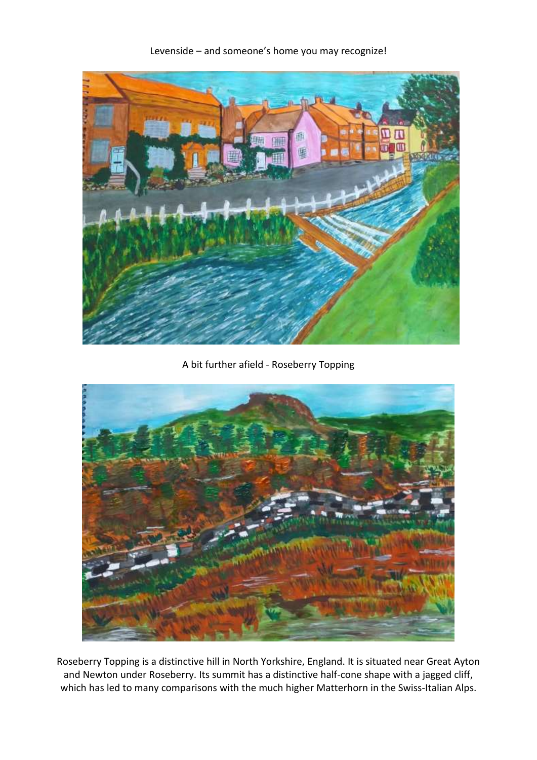

Levenside – and someone's home you may recognize!

A bit further afield - Roseberry Topping



Roseberry Topping is a distinctive hill in North Yorkshire, England. It is situated near Great Ayton and Newton under Roseberry. Its summit has a distinctive half-cone shape with a jagged cliff, which has led to many comparisons with the much higher Matterhorn in the Swiss-Italian Alps.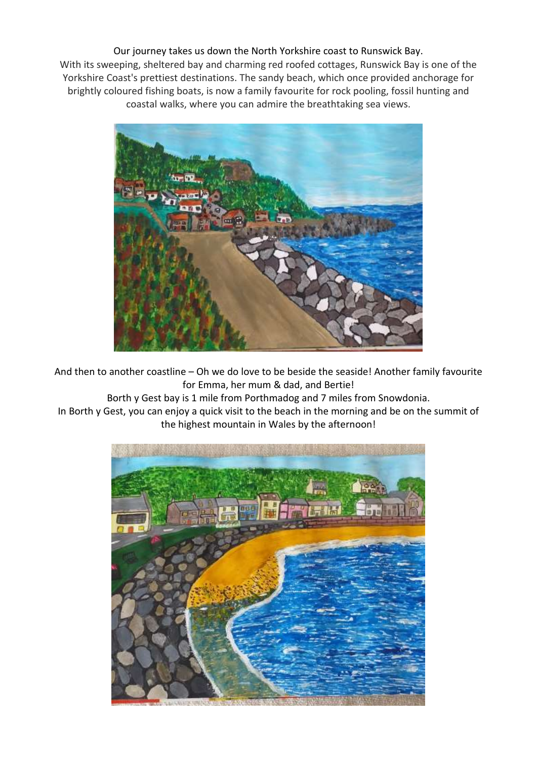Our journey takes us down the North Yorkshire coast to Runswick Bay. With its sweeping, sheltered bay and charming red roofed cottages, Runswick Bay is one of the Yorkshire Coast's prettiest destinations. The sandy beach, which once provided anchorage for brightly coloured fishing boats, is now a family favourite for rock pooling, fossil hunting and coastal walks, where you can admire the breathtaking sea views.



And then to another coastline – Oh we do love to be beside the seaside! Another family favourite for Emma, her mum & dad, and Bertie!

Borth y Gest bay is 1 mile from Porthmadog and 7 miles from Snowdonia.

In Borth y Gest, you can enjoy a quick visit to the beach in the morning and be on the summit of the highest mountain in Wales by the afternoon!

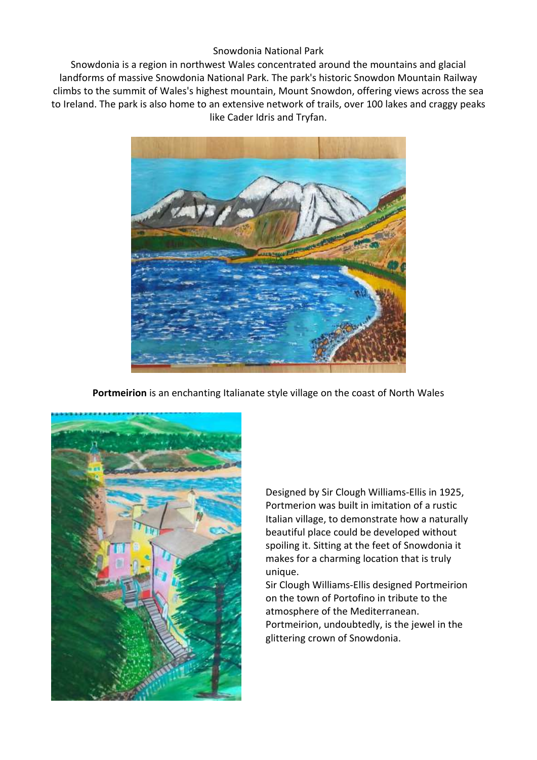## Snowdonia National Park

Snowdonia is a region in northwest Wales concentrated around the mountains and glacial landforms of massive Snowdonia National Park. The park's historic Snowdon Mountain Railway climbs to the summit of Wales's highest mountain, Mount Snowdon, offering views across the sea to Ireland. The park is also home to an extensive network of trails, over 100 lakes and craggy peaks like Cader Idris and Tryfan.



**Portmeirion** is an enchanting Italianate style village on the coast of North Wales



Designed by Sir Clough Williams-Ellis in 1925, Portmerion was built in imitation of a rustic Italian village, to demonstrate how a naturally beautiful place could be developed without spoiling it. Sitting at the feet of Snowdonia it makes for a charming location that is truly unique.

Sir Clough Williams-Ellis designed Portmeirion on the town of Portofino in tribute to the atmosphere of the Mediterranean. Portmeirion, undoubtedly, is the jewel in the glittering crown of Snowdonia.